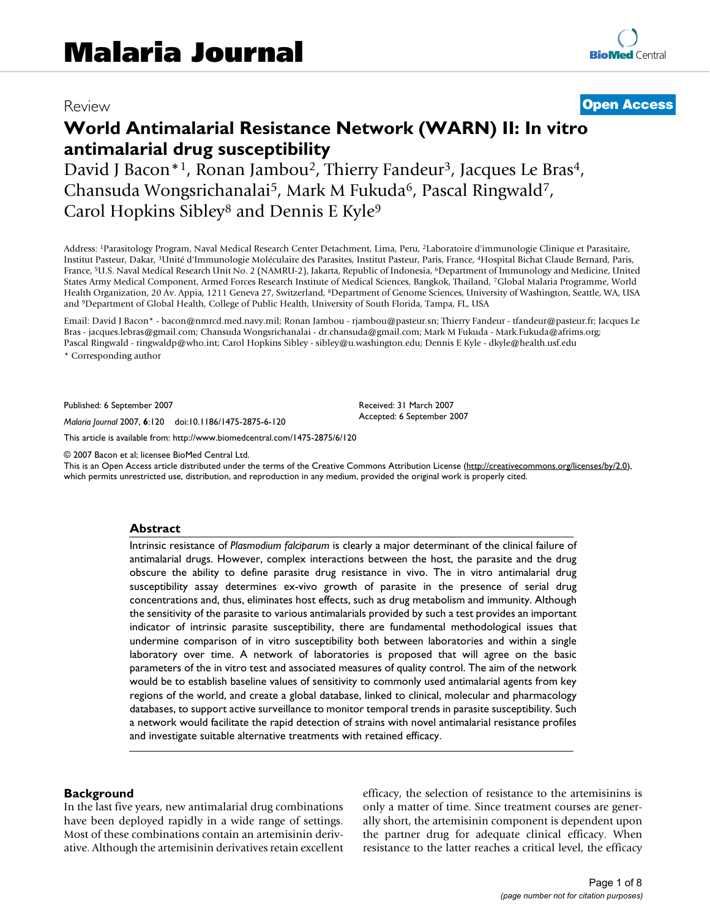# Review **[Open Access](http://www.biomedcentral.com/info/about/charter/)**

# **World Antimalarial Resistance Network (WARN) II: In vitro antimalarial drug susceptibility**

David J Bacon<sup>\*1</sup>, Ronan Jambou<sup>2</sup>, Thierry Fandeur<sup>3</sup>, Jacques Le Bras<sup>4</sup>, Chansuda Wongsrichanalai<sup>5</sup>, Mark M Fukuda<sup>6</sup>, Pascal Ringwald<sup>7</sup>, Carol Hopkins Sibley8 and Dennis E Kyle9

Address: 1Parasitology Program, Naval Medical Research Center Detachment, Lima, Peru, 2Laboratoire d'immunologie Clinique et Parasitaire, Institut Pasteur, Dakar, 3Unité d'Immunologie Moléculaire des Parasites, Institut Pasteur, Paris, France, 4Hospital Bichat Claude Bernard, Paris, France, 5U.S. Naval Medical Research Unit No. 2 (NAMRU-2), Jakarta, Republic of Indonesia, 6Department of Immunology and Medicine, United States Army Medical Component, Armed Forces Research Institute of Medical Sciences, Bangkok, Thailand, 7Global Malaria Programme, World Health Organization, 20 Av. Appia, 1211 Geneva 27, Switzerland, 8Department of Genome Sciences, University of Washington, Seattle, WA, USA and 9Department of Global Health, College of Public Health, University of South Florida, Tampa, FL, USA

Email: David J Bacon\* - bacon@nmrcd.med.navy.mil; Ronan Jambou - rjambou@pasteur.sn; Thierry Fandeur - tfandeur@pasteur.fr; Jacques Le Bras - jacques.lebras@gmail.com; Chansuda Wongsrichanalai - dr.chansuda@gmail.com; Mark M Fukuda - Mark.Fukuda@afrims.org; Pascal Ringwald - ringwaldp@who.int; Carol Hopkins Sibley - sibley@u.washington.edu; Dennis E Kyle - dkyle@health.usf.edu \* Corresponding author

> Received: 31 March 2007 Accepted: 6 September 2007

Published: 6 September 2007

*Malaria Journal* 2007, **6**:120 doi:10.1186/1475-2875-6-120

[This article is available from: http://www.biomedcentral.com/1475-2875/6/120](http://www.biomedcentral.com/1475-2875/6/120)

© 2007 Bacon et al; licensee BioMed Central Ltd.

This is an Open Access article distributed under the terms of the Creative Commons Attribution License [\(http://creativecommons.org/licenses/by/2.0\)](http://creativecommons.org/licenses/by/2.0), which permits unrestricted use, distribution, and reproduction in any medium, provided the original work is properly cited.

#### **Abstract**

Intrinsic resistance of *Plasmodium falciparum* is clearly a major determinant of the clinical failure of antimalarial drugs. However, complex interactions between the host, the parasite and the drug obscure the ability to define parasite drug resistance in vivo. The in vitro antimalarial drug susceptibility assay determines ex-vivo growth of parasite in the presence of serial drug concentrations and, thus, eliminates host effects, such as drug metabolism and immunity. Although the sensitivity of the parasite to various antimalarials provided by such a test provides an important indicator of intrinsic parasite susceptibility, there are fundamental methodological issues that undermine comparison of in vitro susceptibility both between laboratories and within a single laboratory over time. A network of laboratories is proposed that will agree on the basic parameters of the in vitro test and associated measures of quality control. The aim of the network would be to establish baseline values of sensitivity to commonly used antimalarial agents from key regions of the world, and create a global database, linked to clinical, molecular and pharmacology databases, to support active surveillance to monitor temporal trends in parasite susceptibility. Such a network would facilitate the rapid detection of strains with novel antimalarial resistance profiles and investigate suitable alternative treatments with retained efficacy.

#### **Background**

In the last five years, new antimalarial drug combinations have been deployed rapidly in a wide range of settings. Most of these combinations contain an artemisinin derivative. Although the artemisinin derivatives retain excellent efficacy, the selection of resistance to the artemisinins is only a matter of time. Since treatment courses are generally short, the artemisinin component is dependent upon the partner drug for adequate clinical efficacy. When resistance to the latter reaches a critical level, the efficacy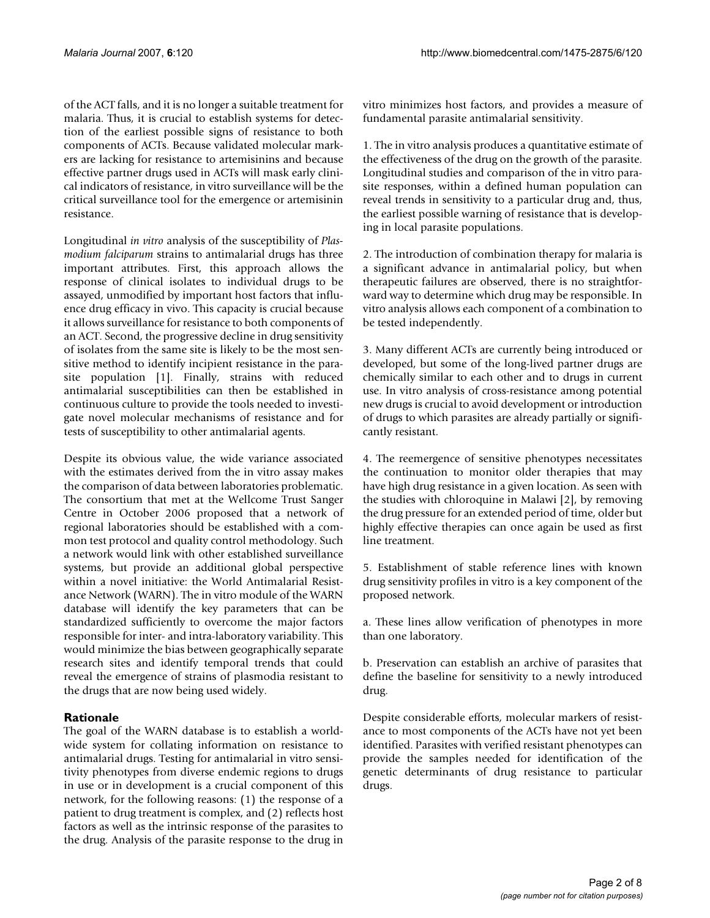of the ACT falls, and it is no longer a suitable treatment for malaria. Thus, it is crucial to establish systems for detection of the earliest possible signs of resistance to both components of ACTs. Because validated molecular markers are lacking for resistance to artemisinins and because effective partner drugs used in ACTs will mask early clinical indicators of resistance, in vitro surveillance will be the critical surveillance tool for the emergence or artemisinin resistance.

Longitudinal *in vitro* analysis of the susceptibility of *Plasmodium falciparum* strains to antimalarial drugs has three important attributes. First, this approach allows the response of clinical isolates to individual drugs to be assayed, unmodified by important host factors that influence drug efficacy in vivo. This capacity is crucial because it allows surveillance for resistance to both components of an ACT. Second, the progressive decline in drug sensitivity of isolates from the same site is likely to be the most sensitive method to identify incipient resistance in the parasite population [1]. Finally, strains with reduced antimalarial susceptibilities can then be established in continuous culture to provide the tools needed to investigate novel molecular mechanisms of resistance and for tests of susceptibility to other antimalarial agents.

Despite its obvious value, the wide variance associated with the estimates derived from the in vitro assay makes the comparison of data between laboratories problematic. The consortium that met at the Wellcome Trust Sanger Centre in October 2006 proposed that a network of regional laboratories should be established with a common test protocol and quality control methodology. Such a network would link with other established surveillance systems, but provide an additional global perspective within a novel initiative: the World Antimalarial Resistance Network (WARN). The in vitro module of the WARN database will identify the key parameters that can be standardized sufficiently to overcome the major factors responsible for inter- and intra-laboratory variability. This would minimize the bias between geographically separate research sites and identify temporal trends that could reveal the emergence of strains of plasmodia resistant to the drugs that are now being used widely.

# **Rationale**

The goal of the WARN database is to establish a worldwide system for collating information on resistance to antimalarial drugs. Testing for antimalarial in vitro sensitivity phenotypes from diverse endemic regions to drugs in use or in development is a crucial component of this network, for the following reasons: (1) the response of a patient to drug treatment is complex, and (2) reflects host factors as well as the intrinsic response of the parasites to the drug. Analysis of the parasite response to the drug in vitro minimizes host factors, and provides a measure of fundamental parasite antimalarial sensitivity.

1. The in vitro analysis produces a quantitative estimate of the effectiveness of the drug on the growth of the parasite. Longitudinal studies and comparison of the in vitro parasite responses, within a defined human population can reveal trends in sensitivity to a particular drug and, thus, the earliest possible warning of resistance that is developing in local parasite populations.

2. The introduction of combination therapy for malaria is a significant advance in antimalarial policy, but when therapeutic failures are observed, there is no straightforward way to determine which drug may be responsible. In vitro analysis allows each component of a combination to be tested independently.

3. Many different ACTs are currently being introduced or developed, but some of the long-lived partner drugs are chemically similar to each other and to drugs in current use. In vitro analysis of cross-resistance among potential new drugs is crucial to avoid development or introduction of drugs to which parasites are already partially or significantly resistant.

4. The reemergence of sensitive phenotypes necessitates the continuation to monitor older therapies that may have high drug resistance in a given location. As seen with the studies with chloroquine in Malawi [2], by removing the drug pressure for an extended period of time, older but highly effective therapies can once again be used as first line treatment.

5. Establishment of stable reference lines with known drug sensitivity profiles in vitro is a key component of the proposed network.

a. These lines allow verification of phenotypes in more than one laboratory.

b. Preservation can establish an archive of parasites that define the baseline for sensitivity to a newly introduced drug.

Despite considerable efforts, molecular markers of resistance to most components of the ACTs have not yet been identified. Parasites with verified resistant phenotypes can provide the samples needed for identification of the genetic determinants of drug resistance to particular drugs.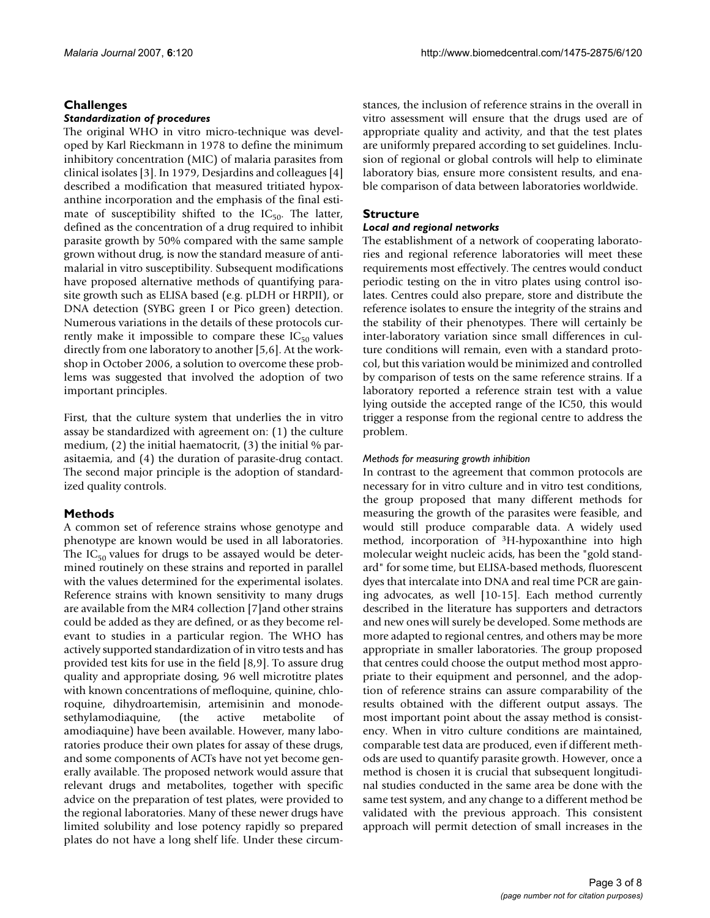# **Challenges**

# *Standardization of procedures*

The original WHO in vitro micro-technique was developed by Karl Rieckmann in 1978 to define the minimum inhibitory concentration (MIC) of malaria parasites from clinical isolates [3]. In 1979, Desjardins and colleagues [4] described a modification that measured tritiated hypoxanthine incorporation and the emphasis of the final estimate of susceptibility shifted to the  $IC_{50}$ . The latter, defined as the concentration of a drug required to inhibit parasite growth by 50% compared with the same sample grown without drug, is now the standard measure of antimalarial in vitro susceptibility. Subsequent modifications have proposed alternative methods of quantifying parasite growth such as ELISA based (e.g. pLDH or HRPII), or DNA detection (SYBG green I or Pico green) detection. Numerous variations in the details of these protocols currently make it impossible to compare these  $IC_{50}$  values directly from one laboratory to another [5,6]. At the workshop in October 2006, a solution to overcome these problems was suggested that involved the adoption of two important principles.

First, that the culture system that underlies the in vitro assay be standardized with agreement on: (1) the culture medium, (2) the initial haematocrit, (3) the initial % parasitaemia, and (4) the duration of parasite-drug contact. The second major principle is the adoption of standardized quality controls.

# **Methods**

A common set of reference strains whose genotype and phenotype are known would be used in all laboratories. The  $IC_{50}$  values for drugs to be assayed would be determined routinely on these strains and reported in parallel with the values determined for the experimental isolates. Reference strains with known sensitivity to many drugs are available from the MR4 collection [7]and other strains could be added as they are defined, or as they become relevant to studies in a particular region. The WHO has actively supported standardization of in vitro tests and has provided test kits for use in the field [8,9]. To assure drug quality and appropriate dosing, 96 well microtitre plates with known concentrations of mefloquine, quinine, chloroquine, dihydroartemisin, artemisinin and monodesethylamodiaquine, (the active metabolite of amodiaquine) have been available. However, many laboratories produce their own plates for assay of these drugs, and some components of ACTs have not yet become generally available. The proposed network would assure that relevant drugs and metabolites, together with specific advice on the preparation of test plates, were provided to the regional laboratories. Many of these newer drugs have limited solubility and lose potency rapidly so prepared plates do not have a long shelf life. Under these circumstances, the inclusion of reference strains in the overall in vitro assessment will ensure that the drugs used are of appropriate quality and activity, and that the test plates are uniformly prepared according to set guidelines. Inclusion of regional or global controls will help to eliminate laboratory bias, ensure more consistent results, and enable comparison of data between laboratories worldwide.

# **Structure**

# *Local and regional networks*

The establishment of a network of cooperating laboratories and regional reference laboratories will meet these requirements most effectively. The centres would conduct periodic testing on the in vitro plates using control isolates. Centres could also prepare, store and distribute the reference isolates to ensure the integrity of the strains and the stability of their phenotypes. There will certainly be inter-laboratory variation since small differences in culture conditions will remain, even with a standard protocol, but this variation would be minimized and controlled by comparison of tests on the same reference strains. If a laboratory reported a reference strain test with a value lying outside the accepted range of the IC50, this would trigger a response from the regional centre to address the problem.

# *Methods for measuring growth inhibition*

In contrast to the agreement that common protocols are necessary for in vitro culture and in vitro test conditions, the group proposed that many different methods for measuring the growth of the parasites were feasible, and would still produce comparable data. A widely used method, incorporation of 3H-hypoxanthine into high molecular weight nucleic acids, has been the "gold standard" for some time, but ELISA-based methods, fluorescent dyes that intercalate into DNA and real time PCR are gaining advocates, as well [10-15]. Each method currently described in the literature has supporters and detractors and new ones will surely be developed. Some methods are more adapted to regional centres, and others may be more appropriate in smaller laboratories. The group proposed that centres could choose the output method most appropriate to their equipment and personnel, and the adoption of reference strains can assure comparability of the results obtained with the different output assays. The most important point about the assay method is consistency. When in vitro culture conditions are maintained, comparable test data are produced, even if different methods are used to quantify parasite growth. However, once a method is chosen it is crucial that subsequent longitudinal studies conducted in the same area be done with the same test system, and any change to a different method be validated with the previous approach. This consistent approach will permit detection of small increases in the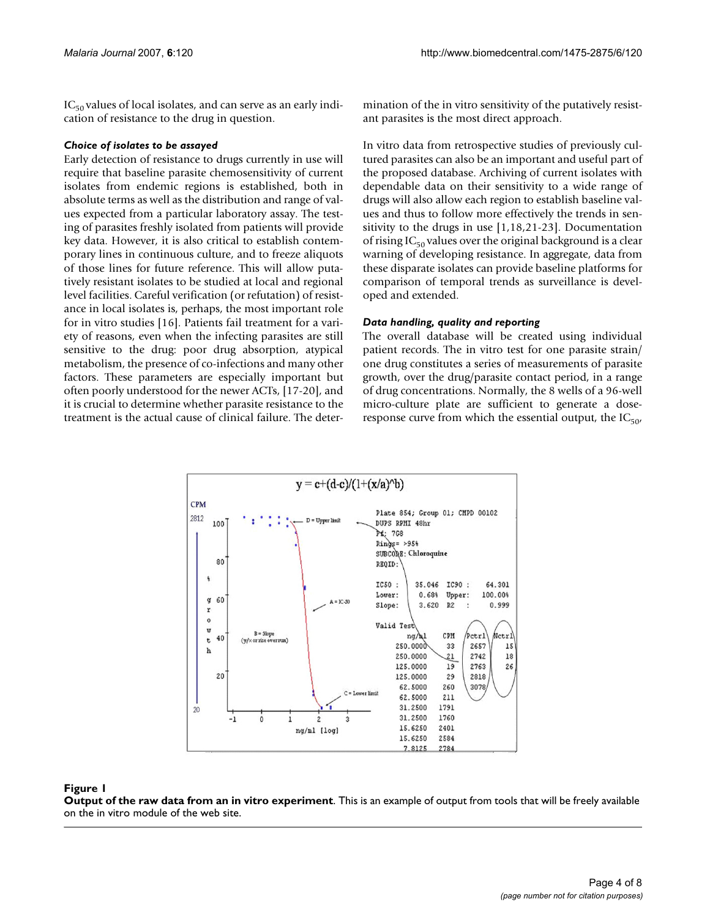$IC_{50}$  values of local isolates, and can serve as an early indication of resistance to the drug in question.

#### *Choice of isolates to be assayed*

Early detection of resistance to drugs currently in use will require that baseline parasite chemosensitivity of current isolates from endemic regions is established, both in absolute terms as well as the distribution and range of values expected from a particular laboratory assay. The testing of parasites freshly isolated from patients will provide key data. However, it is also critical to establish contemporary lines in continuous culture, and to freeze aliquots of those lines for future reference. This will allow putatively resistant isolates to be studied at local and regional level facilities. Careful verification (or refutation) of resistance in local isolates is, perhaps, the most important role for in vitro studies [16]. Patients fail treatment for a variety of reasons, even when the infecting parasites are still sensitive to the drug: poor drug absorption, atypical metabolism, the presence of co-infections and many other factors. These parameters are especially important but often poorly understood for the newer ACTs, [17-20], and it is crucial to determine whether parasite resistance to the treatment is the actual cause of clinical failure. The determination of the in vitro sensitivity of the putatively resistant parasites is the most direct approach.

In vitro data from retrospective studies of previously cultured parasites can also be an important and useful part of the proposed database. Archiving of current isolates with dependable data on their sensitivity to a wide range of drugs will also allow each region to establish baseline values and thus to follow more effectively the trends in sensitivity to the drugs in use [1,18,21-23]. Documentation of rising  $IC_{50}$  values over the original background is a clear warning of developing resistance. In aggregate, data from these disparate isolates can provide baseline platforms for comparison of temporal trends as surveillance is developed and extended.

#### *Data handling, quality and reporting*

The overall database will be created using individual patient records. The in vitro test for one parasite strain/ one drug constitutes a series of measurements of parasite growth, over the drug/parasite contact period, in a range of drug concentrations. Normally, the 8 wells of a 96-well micro-culture plate are sufficient to generate a doseresponse curve from which the essential output, the  $IC_{50}$ ,



### **Figure 1**

**Output of the raw data from an in vitro experiment**. This is an example of output from tools that will be freely available on the in vitro module of the web site.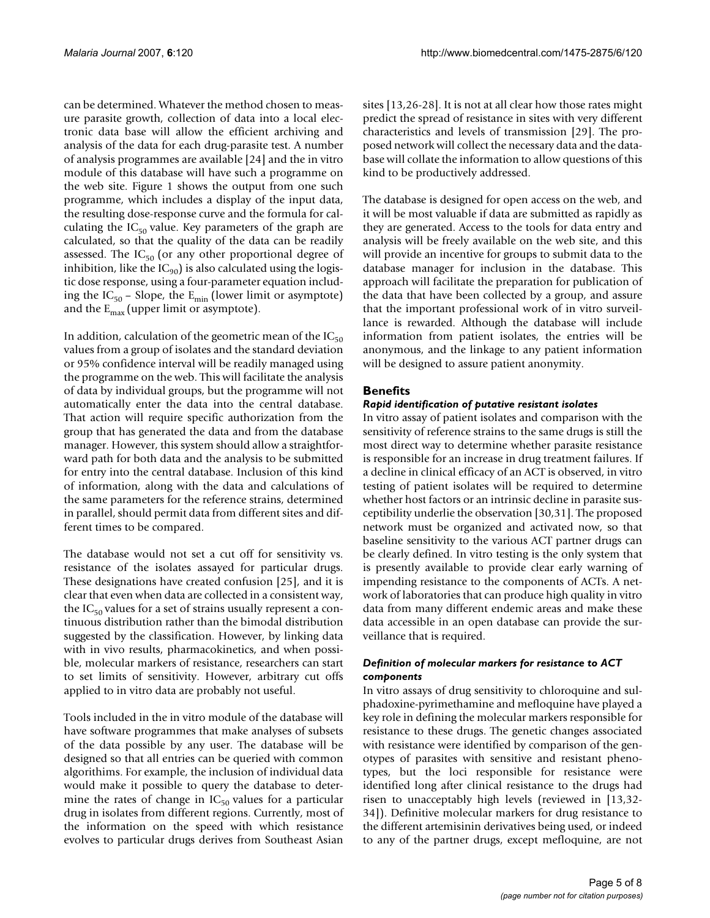can be determined. Whatever the method chosen to measure parasite growth, collection of data into a local electronic data base will allow the efficient archiving and analysis of the data for each drug-parasite test. A number of analysis programmes are available [24] and the in vitro module of this database will have such a programme on the web site. Figure 1 shows the output from one such programme, which includes a display of the input data, the resulting dose-response curve and the formula for calculating the  $IC_{50}$  value. Key parameters of the graph are calculated, so that the quality of the data can be readily assessed. The  $IC_{50}$  (or any other proportional degree of inhibition, like the  $IC_{90}$ ) is also calculated using the logistic dose response, using a four-parameter equation including the  $IC_{50}$  – Slope, the  $E_{min}$  (lower limit or asymptote) and the  $E_{\text{max}}$  (upper limit or asymptote).

In addition, calculation of the geometric mean of the  $IC_{50}$ values from a group of isolates and the standard deviation or 95% confidence interval will be readily managed using the programme on the web. This will facilitate the analysis of data by individual groups, but the programme will not automatically enter the data into the central database. That action will require specific authorization from the group that has generated the data and from the database manager. However, this system should allow a straightforward path for both data and the analysis to be submitted for entry into the central database. Inclusion of this kind of information, along with the data and calculations of the same parameters for the reference strains, determined in parallel, should permit data from different sites and different times to be compared.

The database would not set a cut off for sensitivity vs. resistance of the isolates assayed for particular drugs. These designations have created confusion [25], and it is clear that even when data are collected in a consistent way, the  $IC_{50}$  values for a set of strains usually represent a continuous distribution rather than the bimodal distribution suggested by the classification. However, by linking data with in vivo results, pharmacokinetics, and when possible, molecular markers of resistance, researchers can start to set limits of sensitivity. However, arbitrary cut offs applied to in vitro data are probably not useful.

Tools included in the in vitro module of the database will have software programmes that make analyses of subsets of the data possible by any user. The database will be designed so that all entries can be queried with common algorithims. For example, the inclusion of individual data would make it possible to query the database to determine the rates of change in  $IC_{50}$  values for a particular drug in isolates from different regions. Currently, most of the information on the speed with which resistance evolves to particular drugs derives from Southeast Asian

sites [13,26-28]. It is not at all clear how those rates might predict the spread of resistance in sites with very different characteristics and levels of transmission [29]. The proposed network will collect the necessary data and the database will collate the information to allow questions of this kind to be productively addressed.

The database is designed for open access on the web, and it will be most valuable if data are submitted as rapidly as they are generated. Access to the tools for data entry and analysis will be freely available on the web site, and this will provide an incentive for groups to submit data to the database manager for inclusion in the database. This approach will facilitate the preparation for publication of the data that have been collected by a group, and assure that the important professional work of in vitro surveillance is rewarded. Although the database will include information from patient isolates, the entries will be anonymous, and the linkage to any patient information will be designed to assure patient anonymity.

# **Benefits**

# *Rapid identification of putative resistant isolates*

In vitro assay of patient isolates and comparison with the sensitivity of reference strains to the same drugs is still the most direct way to determine whether parasite resistance is responsible for an increase in drug treatment failures. If a decline in clinical efficacy of an ACT is observed, in vitro testing of patient isolates will be required to determine whether host factors or an intrinsic decline in parasite susceptibility underlie the observation [30,31]. The proposed network must be organized and activated now, so that baseline sensitivity to the various ACT partner drugs can be clearly defined. In vitro testing is the only system that is presently available to provide clear early warning of impending resistance to the components of ACTs. A network of laboratories that can produce high quality in vitro data from many different endemic areas and make these data accessible in an open database can provide the surveillance that is required.

### *Definition of molecular markers for resistance to ACT components*

In vitro assays of drug sensitivity to chloroquine and sulphadoxine-pyrimethamine and mefloquine have played a key role in defining the molecular markers responsible for resistance to these drugs. The genetic changes associated with resistance were identified by comparison of the genotypes of parasites with sensitive and resistant phenotypes, but the loci responsible for resistance were identified long after clinical resistance to the drugs had risen to unacceptably high levels (reviewed in [13,32- 34]). Definitive molecular markers for drug resistance to the different artemisinin derivatives being used, or indeed to any of the partner drugs, except mefloquine, are not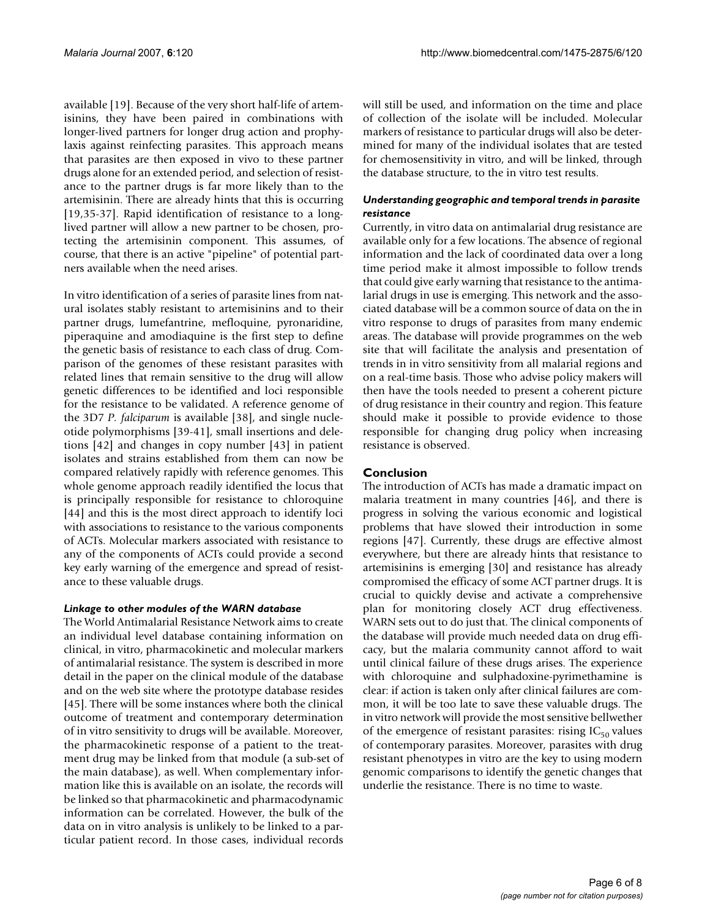available [19]. Because of the very short half-life of artemisinins, they have been paired in combinations with longer-lived partners for longer drug action and prophylaxis against reinfecting parasites. This approach means that parasites are then exposed in vivo to these partner drugs alone for an extended period, and selection of resistance to the partner drugs is far more likely than to the artemisinin. There are already hints that this is occurring [19,35-37]. Rapid identification of resistance to a longlived partner will allow a new partner to be chosen, protecting the artemisinin component. This assumes, of course, that there is an active "pipeline" of potential partners available when the need arises.

In vitro identification of a series of parasite lines from natural isolates stably resistant to artemisinins and to their partner drugs, lumefantrine, mefloquine, pyronaridine, piperaquine and amodiaquine is the first step to define the genetic basis of resistance to each class of drug. Comparison of the genomes of these resistant parasites with related lines that remain sensitive to the drug will allow genetic differences to be identified and loci responsible for the resistance to be validated. A reference genome of the 3D7 *P. falciparum* is available [38], and single nucleotide polymorphisms [39-41], small insertions and deletions [42] and changes in copy number [43] in patient isolates and strains established from them can now be compared relatively rapidly with reference genomes. This whole genome approach readily identified the locus that is principally responsible for resistance to chloroquine [44] and this is the most direct approach to identify loci with associations to resistance to the various components of ACTs. Molecular markers associated with resistance to any of the components of ACTs could provide a second key early warning of the emergence and spread of resistance to these valuable drugs.

### *Linkage to other modules of the WARN database*

The World Antimalarial Resistance Network aims to create an individual level database containing information on clinical, in vitro, pharmacokinetic and molecular markers of antimalarial resistance. The system is described in more detail in the paper on the clinical module of the database and on the web site where the prototype database resides [45]. There will be some instances where both the clinical outcome of treatment and contemporary determination of in vitro sensitivity to drugs will be available. Moreover, the pharmacokinetic response of a patient to the treatment drug may be linked from that module (a sub-set of the main database), as well. When complementary information like this is available on an isolate, the records will be linked so that pharmacokinetic and pharmacodynamic information can be correlated. However, the bulk of the data on in vitro analysis is unlikely to be linked to a particular patient record. In those cases, individual records will still be used, and information on the time and place of collection of the isolate will be included. Molecular markers of resistance to particular drugs will also be determined for many of the individual isolates that are tested for chemosensitivity in vitro, and will be linked, through the database structure, to the in vitro test results.

### *Understanding geographic and temporal trends in parasite resistance*

Currently, in vitro data on antimalarial drug resistance are available only for a few locations. The absence of regional information and the lack of coordinated data over a long time period make it almost impossible to follow trends that could give early warning that resistance to the antimalarial drugs in use is emerging. This network and the associated database will be a common source of data on the in vitro response to drugs of parasites from many endemic areas. The database will provide programmes on the web site that will facilitate the analysis and presentation of trends in in vitro sensitivity from all malarial regions and on a real-time basis. Those who advise policy makers will then have the tools needed to present a coherent picture of drug resistance in their country and region. This feature should make it possible to provide evidence to those responsible for changing drug policy when increasing resistance is observed.

### **Conclusion**

The introduction of ACTs has made a dramatic impact on malaria treatment in many countries [46], and there is progress in solving the various economic and logistical problems that have slowed their introduction in some regions [47]. Currently, these drugs are effective almost everywhere, but there are already hints that resistance to artemisinins is emerging [30] and resistance has already compromised the efficacy of some ACT partner drugs. It is crucial to quickly devise and activate a comprehensive plan for monitoring closely ACT drug effectiveness. WARN sets out to do just that. The clinical components of the database will provide much needed data on drug efficacy, but the malaria community cannot afford to wait until clinical failure of these drugs arises. The experience with chloroquine and sulphadoxine-pyrimethamine is clear: if action is taken only after clinical failures are common, it will be too late to save these valuable drugs. The in vitro network will provide the most sensitive bellwether of the emergence of resistant parasites: rising  $IC_{50}$  values of contemporary parasites. Moreover, parasites with drug resistant phenotypes in vitro are the key to using modern genomic comparisons to identify the genetic changes that underlie the resistance. There is no time to waste.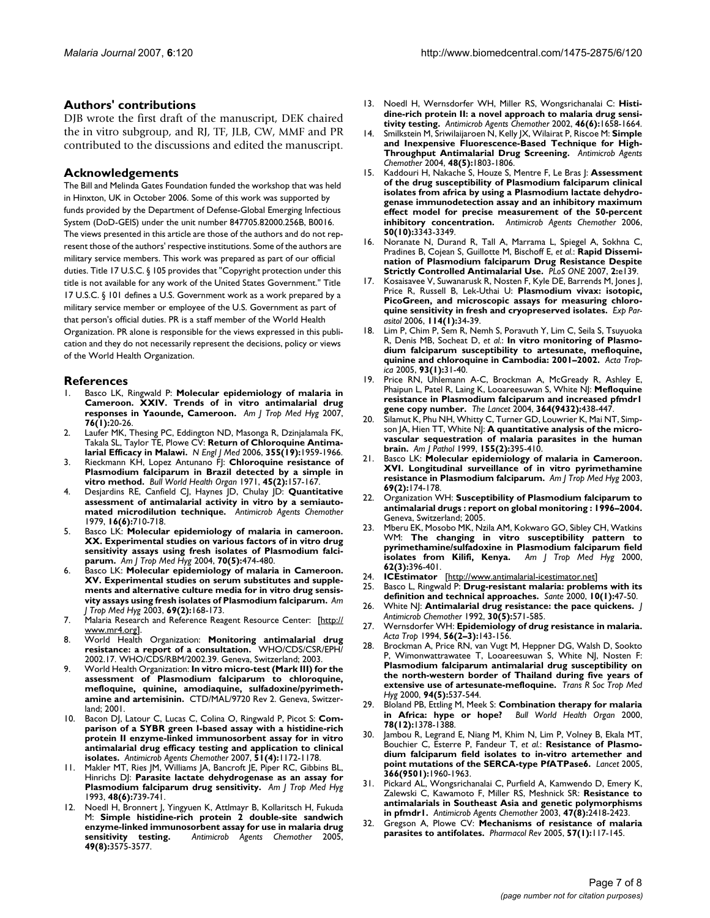#### **Authors' contributions**

DJB wrote the first draft of the manuscript, DEK chaired the in vitro subgroup, and RJ, TF, JLB, CW, MMF and PR contributed to the discussions and edited the manuscript.

#### **Acknowledgements**

The Bill and Melinda Gates Foundation funded the workshop that was held in Hinxton, UK in October 2006. Some of this work was supported by funds provided by the Department of Defense-Global Emerging Infectious System (DoD-GEIS) under the unit number 847705.82000.256B, B0016. The views presented in this article are those of the authors and do not represent those of the authors' respective institutions. Some of the authors are military service members. This work was prepared as part of our official duties. Title 17 U.S.C. § 105 provides that "Copyright protection under this title is not available for any work of the United States Government." Title 17 U.S.C. § 101 defines a U.S. Government work as a work prepared by a military service member or employee of the U.S. Government as part of that person's official duties. PR is a staff member of the World Health Organization. PR alone is responsible for the views expressed in this publication and they do not necessarily represent the decisions, policy or views of the World Health Organization.

#### **References**

- 1. Basco LK, Ringwald P: **[Molecular epidemiology of malaria in](http://www.ncbi.nlm.nih.gov/entrez/query.fcgi?cmd=Retrieve&db=PubMed&dopt=Abstract&list_uids=17255223) [Cameroon. XXIV. Trends of in vitro antimalarial drug](http://www.ncbi.nlm.nih.gov/entrez/query.fcgi?cmd=Retrieve&db=PubMed&dopt=Abstract&list_uids=17255223) [responses in Yaounde, Cameroon.](http://www.ncbi.nlm.nih.gov/entrez/query.fcgi?cmd=Retrieve&db=PubMed&dopt=Abstract&list_uids=17255223)** *Am J Trop Med Hyg* 2007, **76(1):**20-26.
- 2. Laufer MK, Thesing PC, Eddington ND, Masonga R, Dzinjalamala FK, Takala SL, Taylor TE, Plowe CV: **[Return of Chloroquine Antima](http://www.ncbi.nlm.nih.gov/entrez/query.fcgi?cmd=Retrieve&db=PubMed&dopt=Abstract&list_uids=17093247)[larial Efficacy in Malawi.](http://www.ncbi.nlm.nih.gov/entrez/query.fcgi?cmd=Retrieve&db=PubMed&dopt=Abstract&list_uids=17093247)** *N Engl J Med* 2006, **355(19):**1959-1966.
- 3. Rieckmann KH, Lopez Antunano FJ: **[Chloroquine resistance of](http://www.ncbi.nlm.nih.gov/entrez/query.fcgi?cmd=Retrieve&db=PubMed&dopt=Abstract&list_uids=4945631) [Plasmodium falciparum in Brazil detected by a simple in](http://www.ncbi.nlm.nih.gov/entrez/query.fcgi?cmd=Retrieve&db=PubMed&dopt=Abstract&list_uids=4945631) [vitro method.](http://www.ncbi.nlm.nih.gov/entrez/query.fcgi?cmd=Retrieve&db=PubMed&dopt=Abstract&list_uids=4945631)** *Bull World Health Organ* 1971, **45(2):**157-167.
- 4. Desjardins RE, Canfield CJ, Haynes JD, Chulay JD: **[Quantitative](http://www.ncbi.nlm.nih.gov/entrez/query.fcgi?cmd=Retrieve&db=PubMed&dopt=Abstract&list_uids=394674) [assessment of antimalarial activity in vitro by a semiauto](http://www.ncbi.nlm.nih.gov/entrez/query.fcgi?cmd=Retrieve&db=PubMed&dopt=Abstract&list_uids=394674)[mated microdilution technique.](http://www.ncbi.nlm.nih.gov/entrez/query.fcgi?cmd=Retrieve&db=PubMed&dopt=Abstract&list_uids=394674)** *Antimicrob Agents Chemother* 1979, **16(6):**710-718.
- 5. Basco LK: **[Molecular epidemiology of malaria in cameroon.](http://www.ncbi.nlm.nih.gov/entrez/query.fcgi?cmd=Retrieve&db=PubMed&dopt=Abstract&list_uids=15155978) XX. Experimental studies on various factors of in vitro drug [sensitivity assays using fresh isolates of Plasmodium falci](http://www.ncbi.nlm.nih.gov/entrez/query.fcgi?cmd=Retrieve&db=PubMed&dopt=Abstract&list_uids=15155978)[parum.](http://www.ncbi.nlm.nih.gov/entrez/query.fcgi?cmd=Retrieve&db=PubMed&dopt=Abstract&list_uids=15155978)** *Am J Trop Med Hyg* 2004, **70(5):**474-480.
- 6. Basco LK: **[Molecular epidemiology of malaria in Cameroon.](http://www.ncbi.nlm.nih.gov/entrez/query.fcgi?cmd=Retrieve&db=PubMed&dopt=Abstract&list_uids=14506772) XV. Experimental studies on serum substitutes and supple[ments and alternative culture media for in vitro drug sensis](http://www.ncbi.nlm.nih.gov/entrez/query.fcgi?cmd=Retrieve&db=PubMed&dopt=Abstract&list_uids=14506772)[vity assays using fresh isolates of Plasmodium falciparum.](http://www.ncbi.nlm.nih.gov/entrez/query.fcgi?cmd=Retrieve&db=PubMed&dopt=Abstract&list_uids=14506772)** *Am J Trop Med Hyg* 2003, **69(2):**168-173.
- 7. Malaria Research and Reference Reagent Resource Center: [[http://](http://www.mr4.org) [www.mr4.org](http://www.mr4.org)].
- 8. World Health Organization: **Monitoring antimalarial drug resistance: a report of a consultation.** WHO/CDS/CSR/EPH/ 2002.17. WHO/CDS/RBM/2002.39. Geneva, Switzerland; 2003.
- 9. World Health Organization: **In vitro micro-test (Mark III) for the assessment of Plasmodium falciparum to chloroquine, mefloquine, quinine, amodiaquine, sulfadoxine/pyrimethamine and artemisinin.** CTD/MAL/9720 Rev 2. Geneva, Switzerland; 2001.
- 10. Bacon DJ, Latour C, Lucas C, Colina O, Ringwald P, Picot S: **[Com](http://www.ncbi.nlm.nih.gov/entrez/query.fcgi?cmd=Retrieve&db=PubMed&dopt=Abstract&list_uids=17220424)parison of a SYBR green I-based assay with a histidine-rich [protein II enzyme-linked immunosorbent assay for in vitro](http://www.ncbi.nlm.nih.gov/entrez/query.fcgi?cmd=Retrieve&db=PubMed&dopt=Abstract&list_uids=17220424) antimalarial drug efficacy testing and application to clinical [isolates.](http://www.ncbi.nlm.nih.gov/entrez/query.fcgi?cmd=Retrieve&db=PubMed&dopt=Abstract&list_uids=17220424)** *Antimicrob Agents Chemother* 2007, **51(4):**1172-1178.
- 11. Makler MT, Ries JM, Williams JA, Bancroft JE, Piper RC, Gibbins BL, Hinrichs DJ: **[Parasite lactate dehydrogenase as an assay for](http://www.ncbi.nlm.nih.gov/entrez/query.fcgi?cmd=Retrieve&db=PubMed&dopt=Abstract&list_uids=8333566) [Plasmodium falciparum drug sensitivity.](http://www.ncbi.nlm.nih.gov/entrez/query.fcgi?cmd=Retrieve&db=PubMed&dopt=Abstract&list_uids=8333566)** *Am J Trop Med Hyg* 1993, **48(6):**739-741.
- 12. Noedl H, Bronnert J, Yingyuen K, Attlmayr B, Kollaritsch H, Fukuda M: **[Simple histidine-rich protein 2 double-site sandwich](http://www.ncbi.nlm.nih.gov/entrez/query.fcgi?cmd=Retrieve&db=PubMed&dopt=Abstract&list_uids=16048989) [enzyme-linked immunosorbent assay for use in malaria drug](http://www.ncbi.nlm.nih.gov/entrez/query.fcgi?cmd=Retrieve&db=PubMed&dopt=Abstract&list_uids=16048989) [sensitivity testing.](http://www.ncbi.nlm.nih.gov/entrez/query.fcgi?cmd=Retrieve&db=PubMed&dopt=Abstract&list_uids=16048989)** *Antimicrob Agents Chemother* 2005, **49(8):**3575-3577.
- 13. Noedl H, Wernsdorfer WH, Miller RS, Wongsrichanalai C: **[Histi](http://www.ncbi.nlm.nih.gov/entrez/query.fcgi?cmd=Retrieve&db=PubMed&dopt=Abstract&list_uids=12019072)[dine-rich protein II: a novel approach to malaria drug sensi](http://www.ncbi.nlm.nih.gov/entrez/query.fcgi?cmd=Retrieve&db=PubMed&dopt=Abstract&list_uids=12019072)[tivity testing.](http://www.ncbi.nlm.nih.gov/entrez/query.fcgi?cmd=Retrieve&db=PubMed&dopt=Abstract&list_uids=12019072)** *Antimicrob Agents Chemother* 2002, **46(6):**1658-1664.
- 14. Smilkstein M, Sriwilaijaroen N, Kelly JX, Wilairat P, Riscoe M: **[Simple](http://www.ncbi.nlm.nih.gov/entrez/query.fcgi?cmd=Retrieve&db=PubMed&dopt=Abstract&list_uids=15105138) [and Inexpensive Fluorescence-Based Technique for High-](http://www.ncbi.nlm.nih.gov/entrez/query.fcgi?cmd=Retrieve&db=PubMed&dopt=Abstract&list_uids=15105138)[Throughput Antimalarial Drug Screening.](http://www.ncbi.nlm.nih.gov/entrez/query.fcgi?cmd=Retrieve&db=PubMed&dopt=Abstract&list_uids=15105138)** *Antimicrob Agents Chemother* 2004, **48(5):**1803-1806.
- 15. Kaddouri H, Nakache S, Houze S, Mentre F, Le Bras J: **[Assessment](http://www.ncbi.nlm.nih.gov/entrez/query.fcgi?cmd=Retrieve&db=PubMed&dopt=Abstract&list_uids=17005815) of the drug susceptibility of Plasmodium falciparum clinical [isolates from africa by using a Plasmodium lactate dehydro](http://www.ncbi.nlm.nih.gov/entrez/query.fcgi?cmd=Retrieve&db=PubMed&dopt=Abstract&list_uids=17005815)genase immunodetection assay and an inhibitory maximum effect model for precise measurement of the 50-percent [inhibitory concentration.](http://www.ncbi.nlm.nih.gov/entrez/query.fcgi?cmd=Retrieve&db=PubMed&dopt=Abstract&list_uids=17005815)** *Antimicrob Agents Chemother* 2006, **50(10):**3343-3349.
- 16. Noranate N, Durand R, Tall A, Marrama L, Spiegel A, Sokhna C, Pradines B, Cojean S, Guillotte M, Bischoff E, *et al.*: **[Rapid Dissemi](http://www.ncbi.nlm.nih.gov/entrez/query.fcgi?cmd=Retrieve&db=PubMed&dopt=Abstract&list_uids=17206274)[nation of Plasmodium falciparum Drug Resistance Despite](http://www.ncbi.nlm.nih.gov/entrez/query.fcgi?cmd=Retrieve&db=PubMed&dopt=Abstract&list_uids=17206274) [Strictly Controlled Antimalarial Use.](http://www.ncbi.nlm.nih.gov/entrez/query.fcgi?cmd=Retrieve&db=PubMed&dopt=Abstract&list_uids=17206274)** *PLoS ONE* 2007, **2:**e139.
- Kosaisavee V, Suwanarusk R, Nosten F, Kyle DE, Barrends M, Jones J, Price R, Russell B, Lek-Uthai U: **[Plasmodium vivax: isotopic,](http://www.ncbi.nlm.nih.gov/entrez/query.fcgi?cmd=Retrieve&db=PubMed&dopt=Abstract&list_uids=16545375) [PicoGreen, and microscopic assays for measuring chloro](http://www.ncbi.nlm.nih.gov/entrez/query.fcgi?cmd=Retrieve&db=PubMed&dopt=Abstract&list_uids=16545375)[quine sensitivity in fresh and cryopreserved isolates.](http://www.ncbi.nlm.nih.gov/entrez/query.fcgi?cmd=Retrieve&db=PubMed&dopt=Abstract&list_uids=16545375)** *Exp Parasitol* 2006, **114(1):**34-39.
- 18. Lim P, Chim P, Sem R, Nemh S, Poravuth Y, Lim C, Seila S, Tsuyuoka R, Denis MB, Socheat D, *et al.*: **[In vitro monitoring of Plasmo](http://www.ncbi.nlm.nih.gov/entrez/query.fcgi?cmd=Retrieve&db=PubMed&dopt=Abstract&list_uids=15589795)[dium falciparum susceptibility to artesunate, mefloquine,](http://www.ncbi.nlm.nih.gov/entrez/query.fcgi?cmd=Retrieve&db=PubMed&dopt=Abstract&list_uids=15589795) [quinine and chloroquine in Cambodia: 2001–2002.](http://www.ncbi.nlm.nih.gov/entrez/query.fcgi?cmd=Retrieve&db=PubMed&dopt=Abstract&list_uids=15589795)** *Acta Tropica* 2005, **93(1):**31-40.
- 19. Price RN, Uhlemann A-C, Brockman A, McGready R, Ashley E, Phaipun L, Patel R, Laing K, Looareesuwan S, White NJ: **Mefloquine resistance in Plasmodium falciparum and increased pfmdr1 gene copy number.** *The Lancet* 2004, **364(9432):**438-447.
- 20. Silamut K, Phu NH, Whitty C, Turner GD, Louwrier K, Mai NT, Simpson JA, Hien TT, White NJ: **[A quantitative analysis of the micro](http://www.ncbi.nlm.nih.gov/entrez/query.fcgi?cmd=Retrieve&db=PubMed&dopt=Abstract&list_uids=10433933)[vascular sequestration of malaria parasites in the human](http://www.ncbi.nlm.nih.gov/entrez/query.fcgi?cmd=Retrieve&db=PubMed&dopt=Abstract&list_uids=10433933) [brain.](http://www.ncbi.nlm.nih.gov/entrez/query.fcgi?cmd=Retrieve&db=PubMed&dopt=Abstract&list_uids=10433933)** *Am J Pathol* 1999, **155(2):**395-410.
- Basco LK: [Molecular epidemiology of malaria in Cameroon.](http://www.ncbi.nlm.nih.gov/entrez/query.fcgi?cmd=Retrieve&db=PubMed&dopt=Abstract&list_uids=14506773) **[XVI. Longitudinal surveillance of in vitro pyrimethamine](http://www.ncbi.nlm.nih.gov/entrez/query.fcgi?cmd=Retrieve&db=PubMed&dopt=Abstract&list_uids=14506773) [resistance in Plasmodium falciparum.](http://www.ncbi.nlm.nih.gov/entrez/query.fcgi?cmd=Retrieve&db=PubMed&dopt=Abstract&list_uids=14506773)** *Am J Trop Med Hyg* 2003, **69(2):**174-178.
- 22. Organization WH: **Susceptibility of Plasmodium falciparum to antimalarial drugs : report on global monitoring : 1996–2004.** Geneva, Switzerland; 2005.
- 23. Mberu EK, Mosobo MK, Nzila AM, Kokwaro GO, Sibley CH, Watkins WM: **[The changing in vitro susceptibility pattern to](http://www.ncbi.nlm.nih.gov/entrez/query.fcgi?cmd=Retrieve&db=PubMed&dopt=Abstract&list_uids=11037785) [pyrimethamine/sulfadoxine in Plasmodium falciparum field](http://www.ncbi.nlm.nih.gov/entrez/query.fcgi?cmd=Retrieve&db=PubMed&dopt=Abstract&list_uids=11037785) [isolates from Kilifi, Kenya.](http://www.ncbi.nlm.nih.gov/entrez/query.fcgi?cmd=Retrieve&db=PubMed&dopt=Abstract&list_uids=11037785)** *Am J Trop Med Hyg* 2000, **62(3):**396-401.
- 24. **ICEstimator** [<http://www.antimalarial-icestimator.net>]
- 25. Basco L, Ringwald P: **[Drug-resistant malaria: problems with its](http://www.ncbi.nlm.nih.gov/entrez/query.fcgi?cmd=Retrieve&db=PubMed&dopt=Abstract&list_uids=10827363) [definition and technical approaches.](http://www.ncbi.nlm.nih.gov/entrez/query.fcgi?cmd=Retrieve&db=PubMed&dopt=Abstract&list_uids=10827363)** *Sante* 2000, **10(1):**47-50.
- 26. White NJ: **[Antimalarial drug resistance: the pace quickens.](http://www.ncbi.nlm.nih.gov/entrez/query.fcgi?cmd=Retrieve&db=PubMed&dopt=Abstract&list_uids=1493976)** *J Antimicrob Chemother* 1992, **30(5):**571-585.
- 27. Wernsdorfer WH: **[Epidemiology of drug resistance in malaria.](http://www.ncbi.nlm.nih.gov/entrez/query.fcgi?cmd=Retrieve&db=PubMed&dopt=Abstract&list_uids=8203301)** *Acta Trop* 1994, **56(2–3):**143-156.
- 28. Brockman A, Price RN, van Vugt M, Heppner DG, Walsh D, Sookto P, Wimonwattrawatee T, Looareesuwan S, White NJ, Nosten F: **Plasmodium falciparum antimalarial drug susceptibility on [the north-western border of Thailand during five years of](http://www.ncbi.nlm.nih.gov/entrez/query.fcgi?cmd=Retrieve&db=PubMed&dopt=Abstract&list_uids=11132385) [extensive use of artesunate-mefloquine.](http://www.ncbi.nlm.nih.gov/entrez/query.fcgi?cmd=Retrieve&db=PubMed&dopt=Abstract&list_uids=11132385)** *Trans R Soc Trop Med Hyg* 2000, **94(5):**537-544.
- 29. Bloland PB, Ettling M, Meek S: **[Combination therapy for malaria](http://www.ncbi.nlm.nih.gov/entrez/query.fcgi?cmd=Retrieve&db=PubMed&dopt=Abstract&list_uids=11196485) [in Africa: hype or hope?](http://www.ncbi.nlm.nih.gov/entrez/query.fcgi?cmd=Retrieve&db=PubMed&dopt=Abstract&list_uids=11196485)** *Bull World Health Organ* 2000, **78(12):**1378-1388.
- 30. Jambou R, Legrand E, Niang M, Khim N, Lim P, Volney B, Ekala MT, Bouchier C, Esterre P, Fandeur T, *et al.*: **[Resistance of Plasmo](http://www.ncbi.nlm.nih.gov/entrez/query.fcgi?cmd=Retrieve&db=PubMed&dopt=Abstract&list_uids=16325698)[dium falciparum field isolates to in-vitro artemether and](http://www.ncbi.nlm.nih.gov/entrez/query.fcgi?cmd=Retrieve&db=PubMed&dopt=Abstract&list_uids=16325698) [point mutations of the SERCA-type PfATPase6.](http://www.ncbi.nlm.nih.gov/entrez/query.fcgi?cmd=Retrieve&db=PubMed&dopt=Abstract&list_uids=16325698)** *Lancet* 2005, **366(9501):**1960-1963.
- 31. Pickard AL, Wongsrichanalai C, Purfield A, Kamwendo D, Emery K, Zalewski C, Kawamoto F, Miller RS, Meshnick SR: **[Resistance to](http://www.ncbi.nlm.nih.gov/entrez/query.fcgi?cmd=Retrieve&db=PubMed&dopt=Abstract&list_uids=12878499) [antimalarials in Southeast Asia and genetic polymorphisms](http://www.ncbi.nlm.nih.gov/entrez/query.fcgi?cmd=Retrieve&db=PubMed&dopt=Abstract&list_uids=12878499) [in pfmdr1.](http://www.ncbi.nlm.nih.gov/entrez/query.fcgi?cmd=Retrieve&db=PubMed&dopt=Abstract&list_uids=12878499)** *Antimicrob Agents Chemother* 2003, **47(8):**2418-2423.
- 32. Gregson A, Plowe CV: **[Mechanisms of resistance of malaria](http://www.ncbi.nlm.nih.gov/entrez/query.fcgi?cmd=Retrieve&db=PubMed&dopt=Abstract&list_uids=15734729) [parasites to antifolates.](http://www.ncbi.nlm.nih.gov/entrez/query.fcgi?cmd=Retrieve&db=PubMed&dopt=Abstract&list_uids=15734729)** *Pharmacol Rev* 2005, **57(1):**117-145.